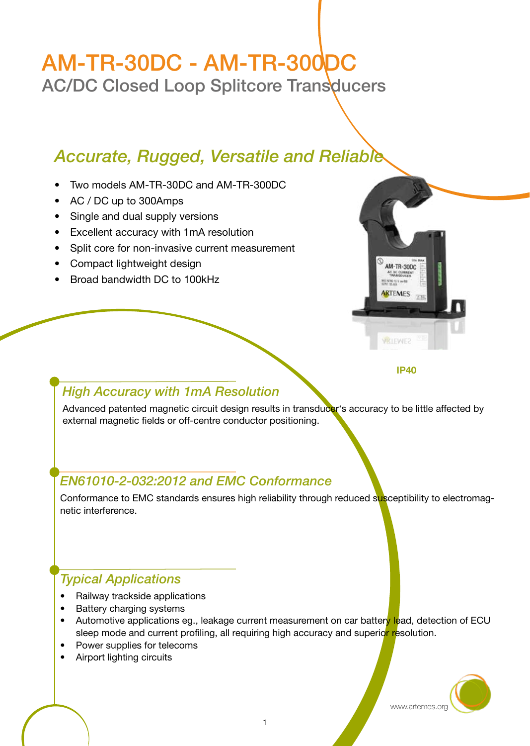# AM-TR-30DC - AM-TR-300DC

AC/DC Closed Loop Splitcore Transducers

# *Accurate, Rugged, Versatile and Reliable*

- Two models AM-TR-30DC and AM-TR-300DC
- AC / DC up to 300Amps
- Single and dual supply versions
- Excellent accuracy with 1mA resolution
- Split core for non-invasive current measurement
- Compact lightweight design
- Broad bandwidth DC to 100kHz



IP40

#### *High Accuracy with 1mA Resolution*

Advanced patented magnetic circuit design results in transducer's accuracy to be little affected by external magnetic fields or off-centre conductor positioning.

# *EN61010-2-032:2012 and EMC Conformance*

Conformance to EMC standards ensures high reliability through reduced susceptibility to electromagnetic interference.

# *Typical Applications*

- Railway trackside applications
- Battery charging systems
- Automotive applications eg., leakage current measurement on car battery lead, detection of ECU sleep mode and current profiling, all requiring high accuracy and superior resolution.
- Power supplies for telecoms
- Airport lighting circuits

www.artemes.org